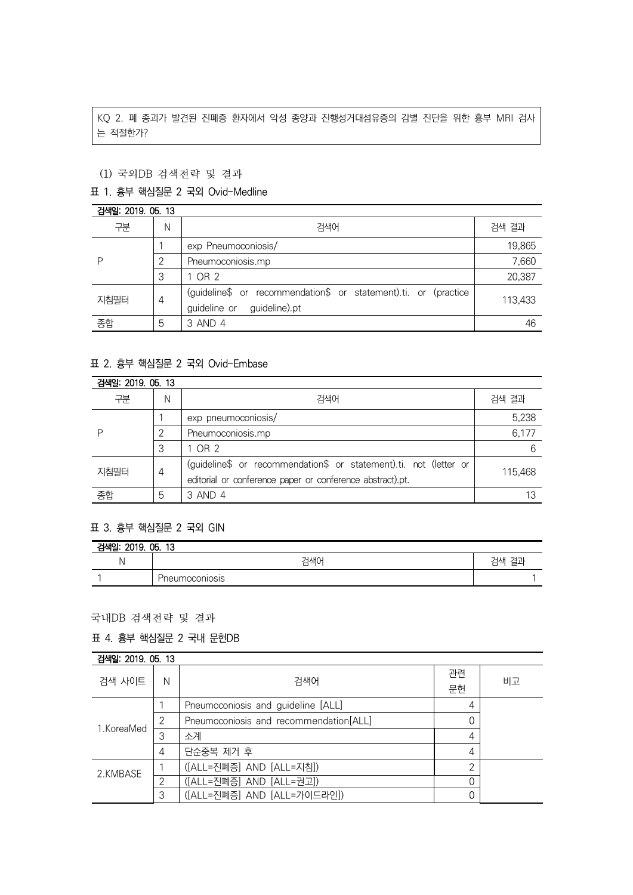KQ 2. 폐 종괴가 발견된 진폐증 환자에서 악성 종양과 진행성거대섬유증의 감별 진단을 위한 흉부 MRI 검사 는 적절한가?

# (1) 국외DB 검색전략 및 결과

### 표 1. 흉부 핵심질문 2 국외 Ovid-Medline

#### 검색일: 2019. 05. 13 구분 N 검색어 검색 결과 P 1 exp Pneumoconiosis/ 19,865 2 Pneumoconiosis.mp 7,660 3 | 1 OR 2 20,387 지침필터  $|4|$ (guideline\$ or recommendation\$ or statement).ti. or (practice guideline or guideline).pt 113,433 종합 5 3 AND 4 46

### 표 2. 흉부 핵심질문 2 국외 Ovid-Embase

| 검색일: 2019, 05, 13 |   |                                                                                                                                |         |
|-------------------|---|--------------------------------------------------------------------------------------------------------------------------------|---------|
| 구분                | N | 검색어                                                                                                                            | 검색 결과   |
|                   |   | exp pneumoconiosis/                                                                                                            | 5,238   |
|                   |   | Pneumoconiosis.mp                                                                                                              | 6,177   |
|                   | 3 | 1 OR 2                                                                                                                         | 6       |
| 지침필터              | 4 | (guideline\$ or recommendation\$ or statement).ti. not (letter or<br>editorial or conference paper or conference abstract).pt. | 115.468 |
| 종합                | 5 | 3 AND 4                                                                                                                        |         |

#### 표 3. 흉부 핵심질문 2 국외 GIN

| 검색일: 2019. 05. 13 |                |       |  |  |
|-------------------|----------------|-------|--|--|
|                   | 검색어            | 검색 결과 |  |  |
|                   | Pneumoconiosis |       |  |  |

## 국내DB 검색전략 및 결과

## 표 4. 흉부 핵심질문 2 국내 문헌DB

| 검색일: 2019, 05, 13 |   |                                        |          |    |
|-------------------|---|----------------------------------------|----------|----|
| 검색 사이트            | N | 검색어                                    | 관련<br>문헌 | 비고 |
| 1.KoreaMed        |   | Pneumoconiosis and guideline [ALL]     | 4        |    |
|                   | 2 | Pneumoconiosis and recommendation[ALL] |          |    |
|                   | 3 | 소계                                     | 4        |    |
|                   | 4 | 단순중복 제거 후                              | 4        |    |
| 2.KMBASE          |   | ([ALL=진폐증] AND [ALL=지침])               | $\Omega$ |    |
|                   | っ | ([ALL=진폐증] AND [ALL=권고])               |          |    |
|                   | 3 | ([ALL=진폐증] AND [ALL=가이드라인])            |          |    |